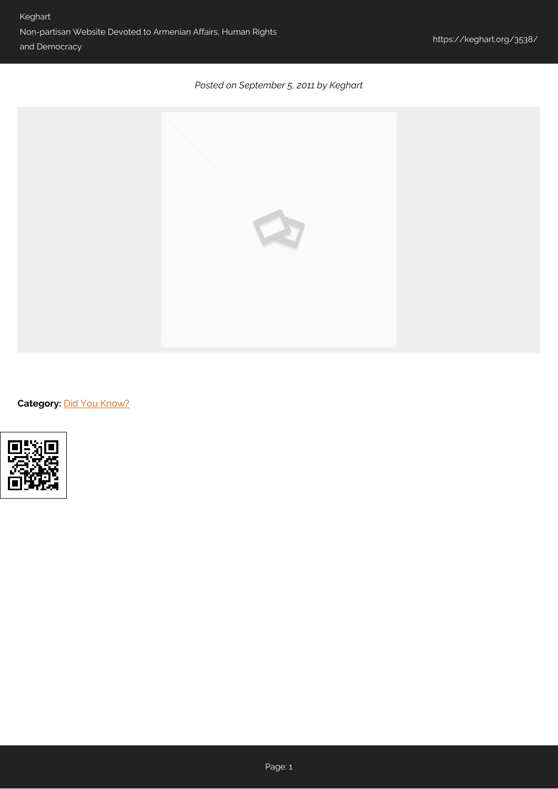## *Posted on September 5, 2011 by Keghart*



Category: [Did You Know?](https://keghart.org/category/did-you-know/)